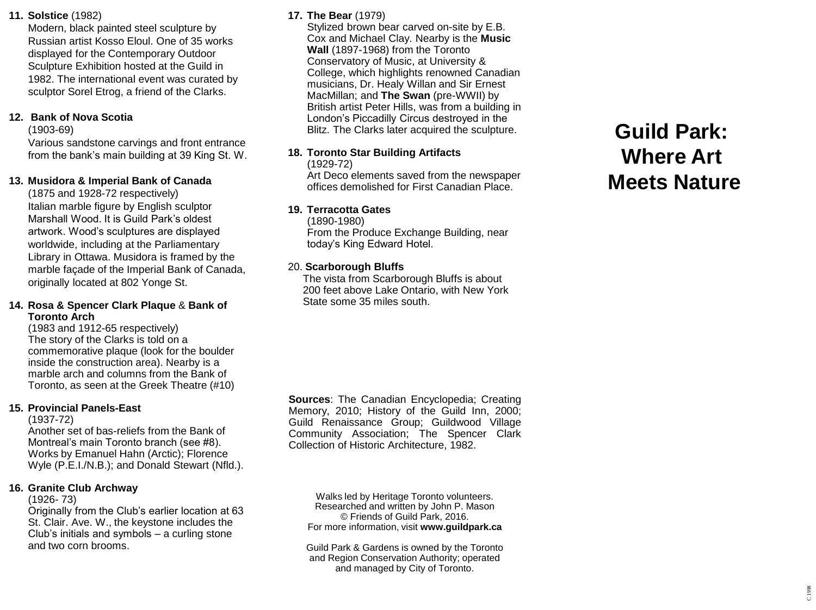### **11. Solstice** (1982)

Modern, black painted steel sculpture by Russian artist Kosso Eloul. One of 35 works displayed for the Contemporary Outdoor Sculpture Exhibition hosted at the Guild in 1982. The international event was curated by sculptor Sorel Etrog, a friend of the Clarks.

### **12. Bank of Nova Scotia**

(1903 -69)

Various sandstone carvings and front entrance from the bank's main building at 39 King St. W.

## **13. Musidora & Imperial Bank of Canada**

(1875 and 1928 -72 respectively) Italian marble figure by English sculptor Marshall Wood. It is Guild Park's oldest artwork. Wood's sculptures are displayed worldwide, including at the Parliamentary Library in Ottawa. Musidora is framed by the marble façade of the Imperial Bank of Canada, originally located at 802 Yonge St.

### **14. Rosa & Spencer Clark Plaque** & **Bank of Toronto Arch**

(1983 and 1912 -65 respectively) The story of the Clarks is told on a commemorative plaque (look for the boulder inside the construction area). Nearby is a marble arch and columns from the Bank of Toronto, as seen at the Greek Theatre (#10)

### **15. Provincial Panels -East**

(1937 -72)

Another set of bas -reliefs from the Bank of Montreal's main Toronto branch (see #8). Works by Emanuel Hahn (Arctic); Florence Wyle (P.E.I./N.B.); and Donald Stewart (Nfld.).

### **16. Granite Club Archway**

 $(1926 - 73)$ 

Originally from the Club's earlier location at 63 St. Clair. Ave. W., the keystone includes the Club's initials and symbols – a curling stone and two corn brooms.

## **17. The Bear** (1979)

Stylized brown bear carved on -site by E.B. Cox and Michael Clay. Nearby is the **Music Wall** (1897 -1968) from the Toronto Conservatory of Music, at University & College, which highlights renowned Canadian musicians, Dr. Healy Willan and Sir Ernest MacMillan; and **The Swan** (pre -WWII) by British artist Peter Hills, was from a building in London's Piccadilly Circus destroyed in the Blitz. The Clarks later acquired the sculpture.

## **18. Toronto Star Building Artifacts**

 $(1929 - 72)$ 

Art Deco elements saved from the newspaper offices demolished for First Canadian Place.

### **19. Terracotta Gates**

(1890 -1980) From the Produce Exchange Building, near today's King Edward Hotel.

### 20. **Scarborough Bluffs**

The vista from Scarborough Bluffs is about 200 feet above Lake Ontario, with New York State some 35 miles south.

Sources: The Canadian Encyclopedia; Creating Memory, 2010; History of the Guild Inn, 2000; Guild Renaissance Group ; Guildwood Village Community Association ; The Spencer Clark Collection of Historic Architecture, 1982 .

Walks led by Heritage Toronto volunteers. Researched and written by John P. Mason © Friends of Guild Park, 2016. For more information, visit **www.guildpark.ca**

Guild Park & Gardens is owned by the Toronto and Region Conservation Authority; operated and managed by City of Toronto.

# **Guild Park: Where Art Meets Nature**